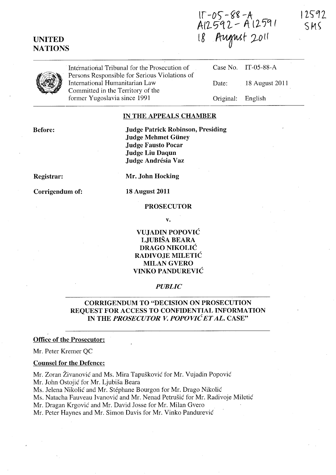UNITED **NATIONS** 

 $15 - 05 - 88 - A$ <br>A12592 - A12591 18 August 2011

12592 SMS



International Tribunal for the Prosecution of Persons Responsible for Serious Violations of International Humanitarian Law Committed in the Territory of the former Yugoslavia since 1991

Case No. Date: Original: IT-05-88-A 18 August 2011 English

## IN THE APPEALS CHAMBER

Before:

Judge Patrick Robinson, Presiding Judge Mehmet Güney Judge Fausto Pocar Judge Liu Daqun Judge Andrésia Vaz

Registrar:

Corrigendum of:

Mr. John Hocking

18 August 2011

### PROSECUTOR

v.

# VUJADIN POPOVIC LJUBISA BEARA DRAGO NIKOLIĆ RADIVOJE MILETIĆ MILAN GVERO VINKO PANDUREVIC

## *PUBLIC*

# CORRIGENDUM TO "DECISION ON PROSECUTION REQUEST FOR ACCESS TO CONFIDENTIAL INFORMATION IN THE *PROSECUTOR V. POPOVIC ET AL.* CASE"

#### Office of the Prosecutor:

Mr. Peter Kremer QC

## Counsel for the Defence:

Mr. Zoran Živanović and Ms. Mira Tapušković for Mr. Vujadin Popović Mr. John Ostojic for Mr. Ljubisa Beara

Ms. Jelena Nikolic and Mr. Stephane Bourgon for Mr. Drago Nikolic

Ms. Natacha Fauveau Ivanović and Mr. Nenad Petrušić for Mr. Radivoje Miletić

Mr. Dragan Krgovic and Mr. David Josse for Mr. Milan Gvero

Mr. Peter Haynes and Mr. Simon Davis for Mr. Vinko Pandurevic